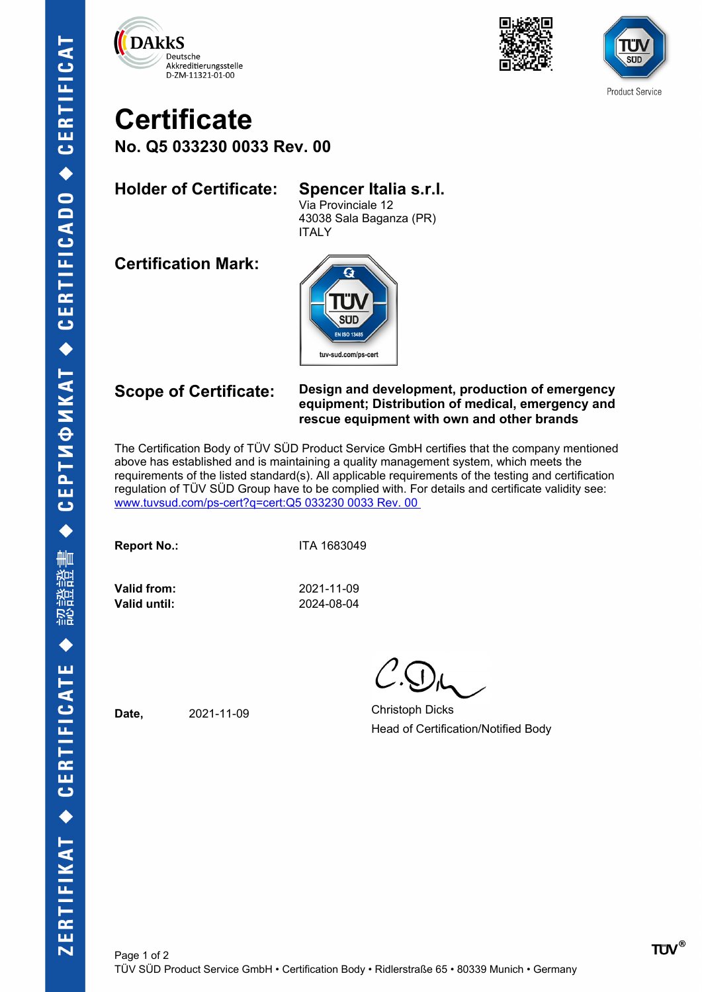





## **Certificate No. Q5 033230 0033 Rev. 00**

## **Holder of Certificate: Spencer Italia s.r.l.**

Via Provinciale 12 43038 Sala Baganza (PR) ITALY

**Certification Mark:**



### **Scope of Certificate: Design and development, production of emergency equipment; Distribution of medical, emergency and rescue equipment with own and other brands**

The Certification Body of TÜV SÜD Product Service GmbH certifies that the company mentioned above has established and is maintaining a quality management system, which meets the requirements of the listed standard(s). All applicable requirements of the testing and certification regulation of TÜV SÜD Group have to be complied with. For details and certificate validity see: [www.tuvsud.com/ps-cert?q=cert:Q5 033230 0033 Rev. 00](http://www.tuvsud.com/ps-cert?q=cert:Q5%20033230%200033%20Rev.%2000%C2%A0) 

**Report No.:** ITA 1683049

**Valid from:** 2021-11-09 **Valid until:** 2024-08-04

Date, 2021-11-09 Christoph Dicks Head of Certification/Notified Body